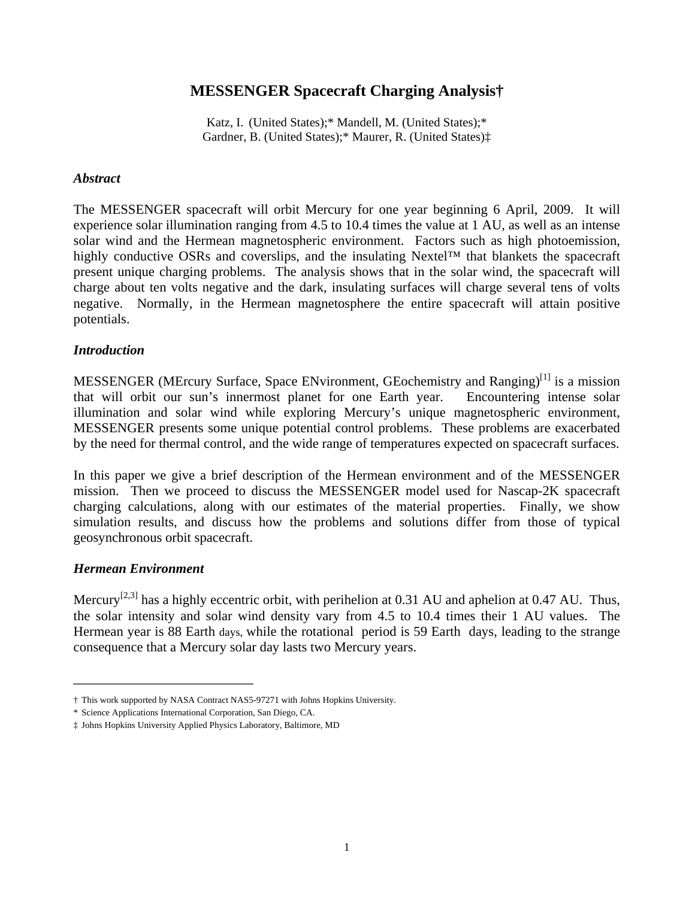# **MESSENGER Spacecraft Charging Analysis†**

Katz, I. (United States);\* Mandell, M. (United States);\* Gardner, B. (United States);\* Maurer, R. (United States)‡

#### *Abstract*

The MESSENGER spacecraft will orbit Mercury for one year beginning 6 April, 2009. It will experience solar illumination ranging from 4.5 to 10.4 times the value at 1 AU, as well as an intense solar wind and the Hermean magnetospheric environment. Factors such as high photoemission, highly conductive OSRs and coverslips, and the insulating Nextel™ that blankets the spacecraft present unique charging problems. The analysis shows that in the solar wind, the spacecraft will charge about ten volts negative and the dark, insulating surfaces will charge several tens of volts negative. Normally, in the Hermean magnetosphere the entire spacecraft will attain positive potentials.

### *Introduction*

MESSENGER (MErcury Surface, Space ENvironment, GEochemistry and Ranging)<sup>[1]</sup> is a mission is a mission that will orbit our sun's innermost planet for one Earth year. Encountering intense solar illumination and solar wind while exploring Mercury's unique magnetospheric environment, MESSENGER presents some unique potential control problems. These problems are exacerbated by the need for thermal control, and the wide range of temperatures expected on spacecraft surfaces.

In this paper we give a brief description of the Hermean environment and of the MESSENGER mission. Then we proceed to discuss the MESSENGER model used for Nascap-2K spacecraft charging calculations, along with our estimates of the material properties. Finally, we show simulation results, and discuss how the problems and solutions differ from those of typical geosynchronous orbit spacecraft.

### *Hermean Environment*

Mercury<sup>[2,3]</sup> has a highly eccentric orbit, with perihelion at 0.31 AU and aphelion at 0.47 AU. Thus, the solar intensity and solar wind density vary from 4.5 to 10.4 times their 1 AU values. The Hermean year is 88 Earth days, while the rotational period is 59 Earth days, leading to the strange consequence that a Mercury solar day lasts two Mercury years.

<sup>†</sup> This work supported by NASA Contract NAS5-97271 with Johns Hopkins University.

<sup>\*</sup> Science Applications International Corporation, San Diego, CA.

<sup>‡</sup> Johns Hopkins University Applied Physics Laboratory, Baltimore, MD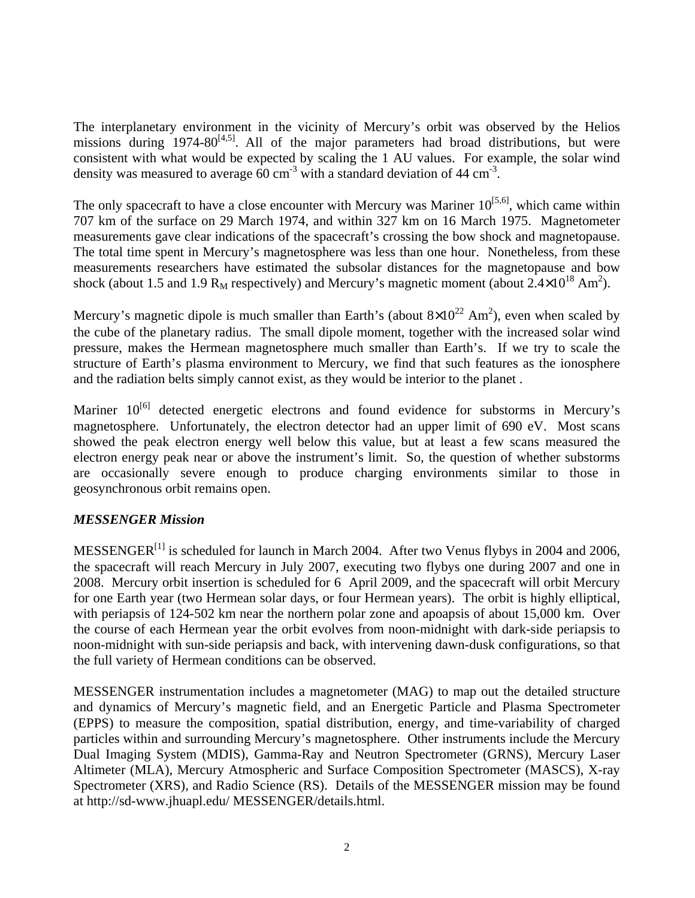The interplanetary environment in the vicinity of Mercury's orbit was observed by the Helios missions during 1974-80<sup>[4,5]</sup>. All of the major parameters had broad distributions, but were consistent with what would be expected by scaling the 1 AU values. For example, the solar wind density was measured to average  $60 \text{ cm}^3$  with a standard deviation of 44 cm<sup>-3</sup>. with a standard deviation of  $44 \text{ cm}^{-3}$ . -3 .

The only spacecraft to have a close encounter with Mercury was Mariner  $10^{[5,6]}$ , which came within , which came within 707 km of the surface on 29 March 1974, and within 327 km on 16 March 1975. Magnetometer measurements gave clear indications of the spacecraft's crossing the bow shock and magnetopause. The total time spent in Mercury's magnetosphere was less than one hour. Nonetheless, from these measurements researchers have estimated the subsolar distances for the magnetopause and bow shock (about 1.5 and 1.9 R<sub>M</sub> respectively) and Mercury's magnetic moment (about  $2.4 \times 10^{18}$  Am<sup>2</sup>).  $^{18}$  Am<sup>2</sup>).  $2\lambda$ ).

Mercury's magnetic dipole is much smaller than Earth's (about  $8\times10^{22}$  Am<sup>2</sup>), even when scaled by  $22$  Am<sup>2</sup>), even when scaled by ), even when scaled by the cube of the planetary radius. The small dipole moment, together with the increased solar wind pressure, makes the Hermean magnetosphere much smaller than Earth's. If we try to scale the structure of Earth's plasma environment to Mercury, we find that such features as the ionosphere and the radiation belts simply cannot exist, as they would be interior to the planet .

Mariner 10<sup>[6]</sup> detected energetic electrons and found evidence for substorms in Mercury's magnetosphere. Unfortunately, the electron detector had an upper limit of 690 eV. Most scans showed the peak electron energy well below this value, but at least a few scans measured the electron energy peak near or above the instrument's limit. So, the question of whether substorms are occasionally severe enough to produce charging environments similar to those in geosynchronous orbit remains open.

# *MESSENGER Mission*

MESSENGER<sup>[1]</sup> is scheduled for launch in March 2004. After two Venus flybys in 2004 and 2006, the spacecraft will reach Mercury in July 2007, executing two flybys one during 2007 and one in 2008. Mercury orbit insertion is scheduled for 6 April 2009, and the spacecraft will orbit Mercury for one Earth year (two Hermean solar days, or four Hermean years). The orbit is highly elliptical, with periapsis of 124-502 km near the northern polar zone and apoapsis of about 15,000 km. Over the course of each Hermean year the orbit evolves from noon-midnight with dark-side periapsis to noon-midnight with sun-side periapsis and back, with intervening dawn-dusk configurations, so that the full variety of Hermean conditions can be observed.

MESSENGER instrumentation includes a magnetometer (MAG) to map out the detailed structure and dynamics of Mercury's magnetic field, and an Energetic Particle and Plasma Spectrometer (EPPS) to measure the composition, spatial distribution, energy, and time-variability of charged particles within and surrounding Mercury's magnetosphere. Other instruments include the Mercury Dual Imaging System (MDIS), Gamma-Ray and Neutron Spectrometer (GRNS), Mercury Laser Altimeter (MLA), Mercury Atmospheric and Surface Composition Spectrometer (MASCS), X-ray Spectrometer (XRS), and Radio Science (RS). Details of the MESSENGER mission may be found at http://sd-www.jhuapl.edu/ MESSENGER/details.html.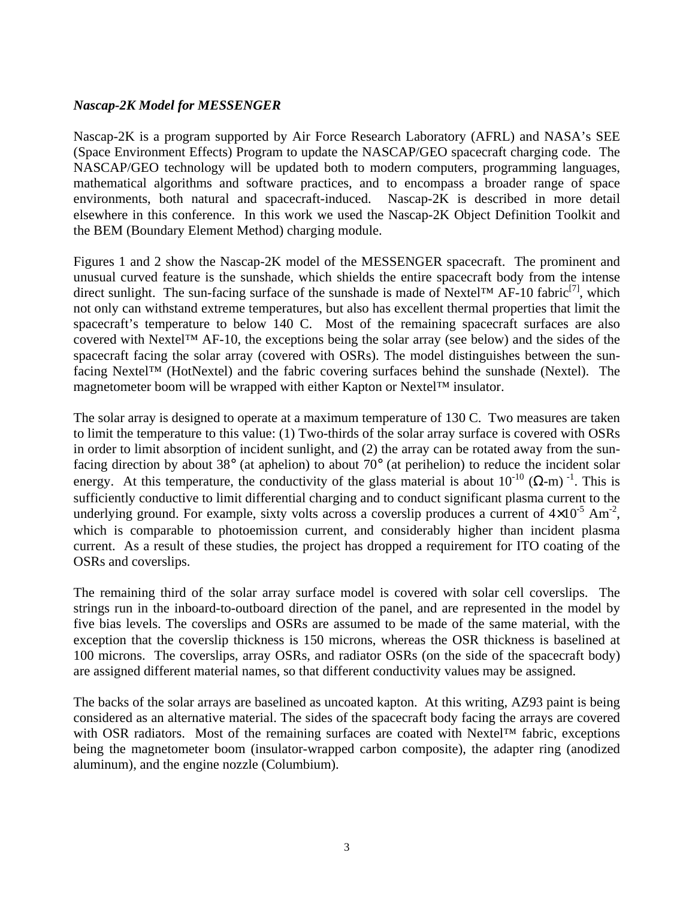### *Nascap-2K Model for MESSENGER*

Nascap-2K is a program supported by Air Force Research Laboratory (AFRL) and NASA's SEE (Space Environment Effects) Program to update the NASCAP/GEO spacecraft charging code. The NASCAP/GEO technology will be updated both to modern computers, programming languages, mathematical algorithms and software practices, and to encompass a broader range of space environments, both natural and spacecraft-induced. Nascap-2K is described in more detail elsewhere in this conference. In this work we used the Nascap-2K Object Definition Toolkit and the BEM (Boundary Element Method) charging module.

Figures 1 and 2 show the Nascap-2K model of the MESSENGER spacecraft. The prominent and unusual curved feature is the sunshade, which shields the entire spacecraft body from the intense direct sunlight. The sun-facing surface of the sunshade is made of Nextel<sup>TM</sup> AF-10 fabric<sup>[7]</sup>, which  $^{[7]}$  which , which not only can withstand extreme temperatures, but also has excellent thermal properties that limit the spacecraft's temperature to below 140 C. Most of the remaining spacecraft surfaces are also covered with Nextel™ AF-10, the exceptions being the solar array (see below) and the sides of the spacecraft facing the solar array (covered with OSRs). The model distinguishes between the sunfacing Nextel™ (HotNextel) and the fabric covering surfaces behind the sunshade (Nextel). The magnetometer boom will be wrapped with either Kapton or Nextel™ insulator.

The solar array is designed to operate at a maximum temperature of 130 C. Two measures are taken to limit the temperature to this value: (1) Two-thirds of the solar array surface is covered with OSRs in order to limit absorption of incident sunlight, and (2) the array can be rotated away from the sunfacing direction by about 38° (at aphelion) to about 70° (at perihelion) to reduce the incident solar energy. At this temperature, the conductivity of the glass material is about  $10^{-10}$  ( $\Omega$ -m)<sup>-1</sup>. This is  $-10$  (O m)  $-1$  This is  $(\Omega$ -m)<sup>-1</sup>. This is  $-1$  This is . This is sufficiently conductive to limit differential charging and to conduct significant plasma current to the underlying ground. For example, sixty volts across a coverslip produces a current of  $4\times10^{-5}$  Am<sup>-2</sup>,  $-5$  Am<sup>-2</sup>, -2 , which is comparable to photoemission current, and considerably higher than incident plasma current. As a result of these studies, the project has dropped a requirement for ITO coating of the OSRs and coverslips.

The remaining third of the solar array surface model is covered with solar cell coverslips. The strings run in the inboard-to-outboard direction of the panel, and are represented in the model by five bias levels. The coverslips and OSRs are assumed to be made of the same material, with the exception that the coverslip thickness is 150 microns, whereas the OSR thickness is baselined at 100 microns. The coverslips, array OSRs, and radiator OSRs (on the side of the spacecraft body) are assigned different material names, so that different conductivity values may be assigned.

The backs of the solar arrays are baselined as uncoated kapton. At this writing, AZ93 paint is being considered as an alternative material. The sides of the spacecraft body facing the arrays are covered with OSR radiators. Most of the remaining surfaces are coated with Nextel™ fabric, exceptions being the magnetometer boom (insulator-wrapped carbon composite), the adapter ring (anodized aluminum), and the engine nozzle (Columbium).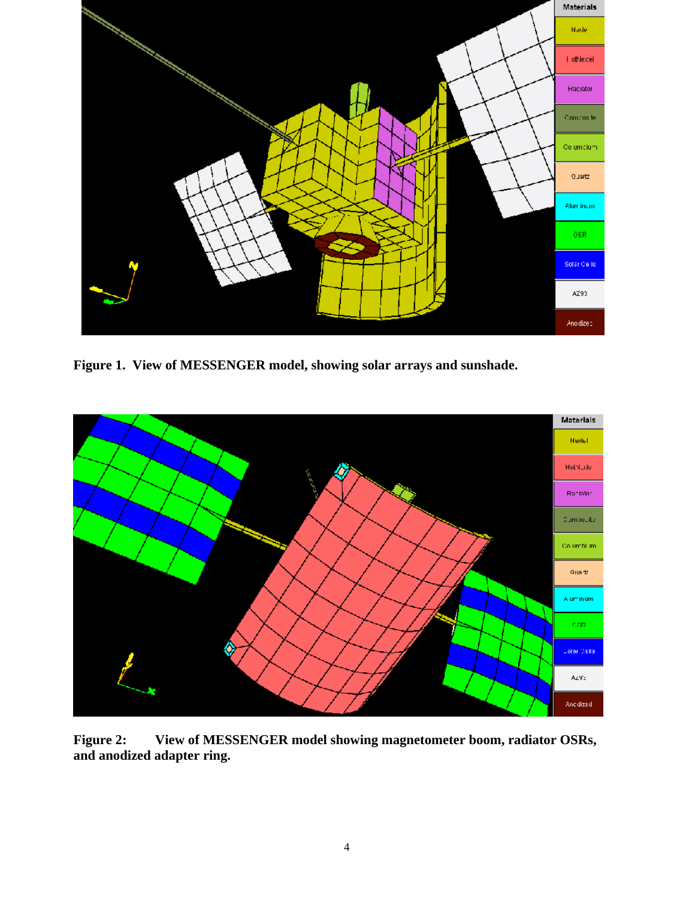

**Figure 1. View of MESSENGER model, showing solar arrays and sunshade.**



**Figure 2: View of MESSENGER modelshowing magnetometer boom, radiator OSRs, and anodized adapter ring.**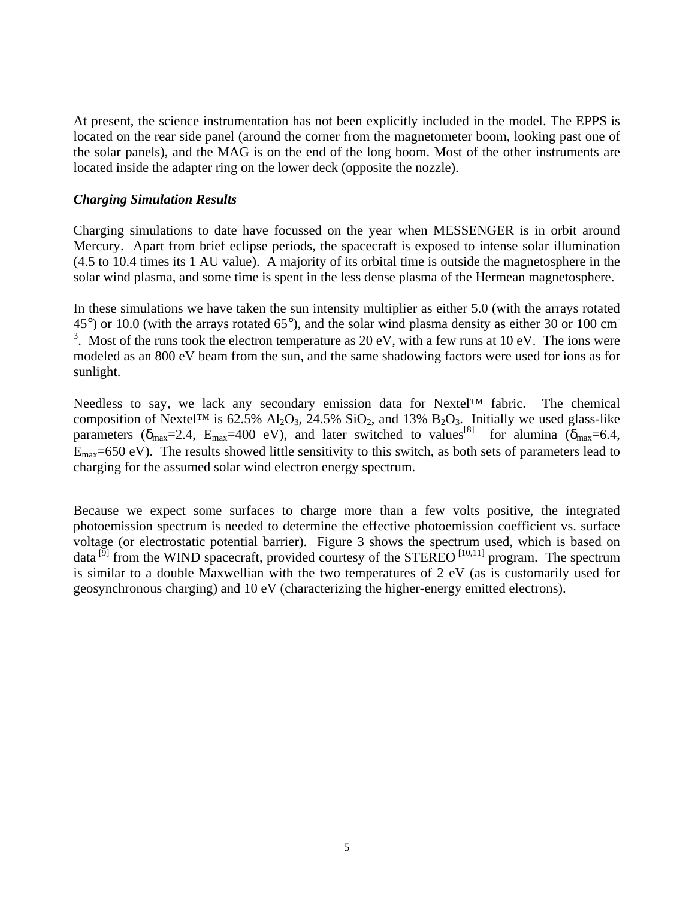At present, the science instrumentation has not been explicitly included in the model. The EPPS is located on the rear side panel (around the corner from the magnetometer boom, looking past one of the solar panels), and the MAG is on the end of the long boom. Most of the other instruments are located inside the adapter ring on the lower deck (opposite the nozzle).

#### *Charging Simulation Results*

Charging simulations to date have focussed on the year when MESSENGER is in orbit around Mercury. Apart from brief eclipse periods, the spacecraft is exposed to intense solar illumination (4.5 to 10.4 times its 1 AU value). A majority of its orbital time is outside the magnetosphere in the solar wind plasma, and some time is spent in the less dense plasma of the Hermean magnetosphere.

In these simulations we have taken the sun intensity multiplier as either 5.0 (with the arrays rotated 45°) or 10.0 (with the arrays rotated 65°), and the solar wind plasma density as either 30 or 100 cm **-** Construction of the <sup>3</sup>. Most of the runs took the electron temperature as 20 eV, with a few runs at 10 eV. The ions were modeled as an 800 eV beam from the sun, and the same shadowing factors were used for ions as for sunlight. The contract of the contract of the contract of the contract of the contract of the contract of the contract of the contract of the contract of the contract of the contract of the contract of the contract of the

Needless to say, we lack any secondary emission data for Nextel™ fabric. The chemical composition of Nextel™ is 62.5% Al<sub>2</sub>O<sub>3</sub>, 24.5% SiO<sub>2</sub>, and 13% B<sub>2</sub>O<sub>3</sub>. Initially we used glass-like parameters  $(\delta_{\text{max}}=2.4, \text{ E}_{\text{max}}=400 \text{ eV})$ , and later switched to values  $^{8}$  for alumina  $(\delta_{\text{max}}=6.4,$  $E_{\text{max}}$ =650 eV). The results showed little sensitivity to this switch, as both sets of parameters lead to charging for the assumed solar wind electron energy spectrum.

Because we expect some surfaces to charge more than a few volts positive, the integrated photoemission spectrum is needed to determine the effective photoemission coefficient vs. surface voltage (or electrostatic potential barrier). Figure 3 shows the spectrum used, which is based on data  $\left[5\right]$  from the WIND spacecraft, provided courtesy of the STEREO  $\left[10,11\right]$  program. The spectrum  $^{[10,11]}$  program. The spectrum is similar to a double Maxwellian with the two temperatures of 2 eV (as is customarily used for geosynchronous charging) and 10 eV (characterizing the higher-energy emitted electrons).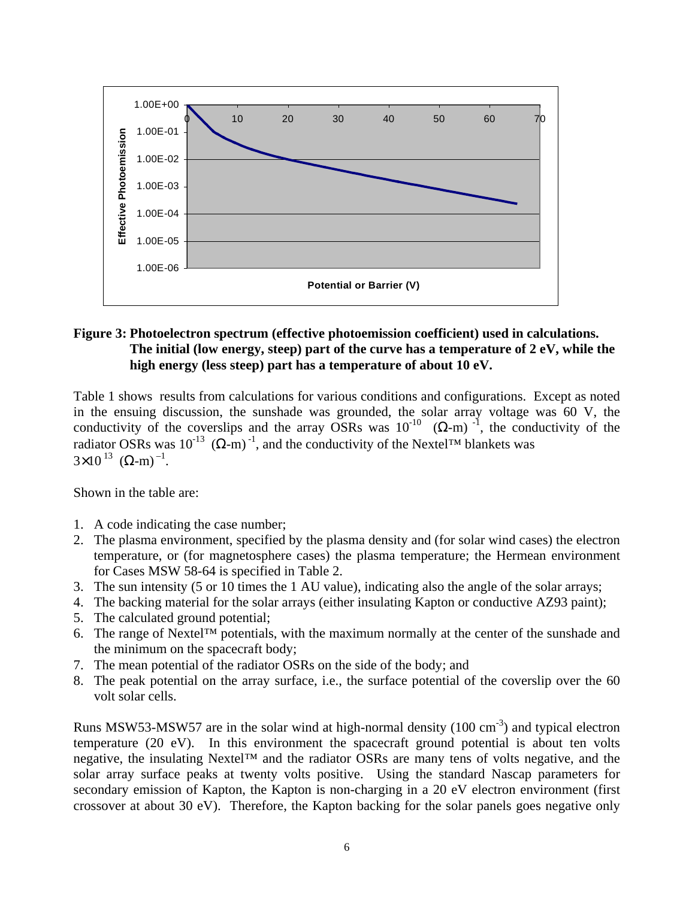

#### **Figure 3: Photoelectron spectrum (effective photoemission coefficient) used in calculations. The initial (low energy, steep) part of the curve has a temperature of 2 eV, while the high energy (less steep) part has a temperature of about 10 eV.**

Table 1 shows results from calculations for various conditions and configurations. Except as noted in the ensuing discussion, the sunshade was grounded, the solar array voltage was 60 V, the conductivity of the coverslips and the array OSRs was  $10^{-10}$  ( $\Omega$ -m)<sup>-1</sup>, the conductivity of the , the conductivity of the radiator OSRs was  $10^{-13}$  ( $\Omega$ -m)<sup>-1</sup>, and the conductivity of the Nextel<sup>TM</sup> blankets was , and the conductivity of the Nextel™ blankets was  $3 \times 10^{-13}$  ( $\Omega$ -m)<sup>-1</sup>.  $\frac{13}{13}$  (O m)<sup>-1</sup>  $(\Omega$ -m)<sup>-1</sup>. . A construction of the construction of the construction of the construction of the construction of the constr<br>The construction of the construction of the construction of the construction of the construction of the constr

Shown in the table are:

- 1. A code indicating the case number;
- 2. The plasma environment, specified by the plasma density and (for solar wind cases) the electron temperature, or (for magnetosphere cases) the plasma temperature; the Hermean environment for Cases MSW 58-64 is specified in Table 2.
- 3. The sun intensity (5 or 10 times the 1 AU value), indicating also the angle of the solar arrays;
- 4. The backing material for the solar arrays (either insulating Kapton or conductive AZ93 paint);
- 5. The calculated ground potential;
- 6. The range of Nextel<sup>TM</sup> potentials, with the maximum normally at the center of the sunshade and the minimum on the spacecraft body;
- 7. The mean potential of the radiator OSRs on the side of the body; and
- 8. The peak potential on the array surface, i.e., the surface potential of the coverslip over the 60 volt solar cells.

Runs MSW53-MSW57 are in the solar wind at high-normal density  $(100 \text{ cm}^{-3})$  and typical electron ) and typical electron temperature (20 eV). In this environment the spacecraft ground potential is about ten volts negative, the insulating Nextel™ and the radiator OSRs are many tens of volts negative, and the solar array surface peaks at twenty volts positive. Using the standard Nascap parameters for secondary emission of Kapton, the Kapton is non-charging in a 20 eV electron environment (first crossover at about 30 eV). Therefore, the Kapton backing for the solar panels goes negative only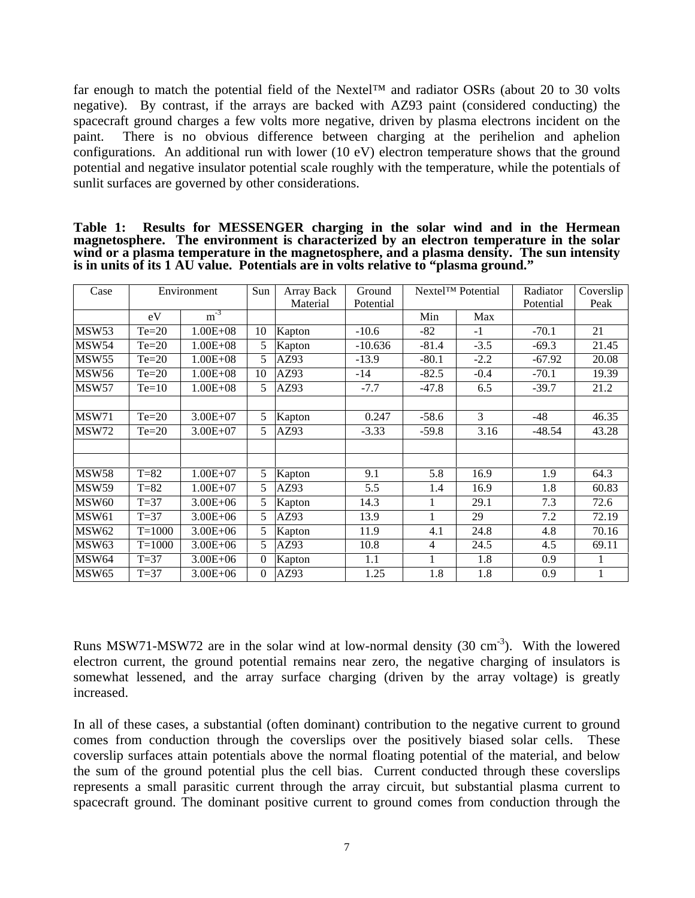far enough to match the potential field of the Nextel™ and radiator OSRs (about 20 to 30 volts negative). By contrast, if the arrays are backed with AZ93 paint (considered conducting) the spacecraft ground charges a few volts more negative, driven by plasma electrons incident on the paint. There is no obvious difference between charging at the perihelion and aphelion configurations. An additional run with lower (10 eV) electron temperature shows that the ground potential and negative insulator potential scale roughly with the temperature, while the potentials of sunlit surfaces are governed by other considerations.

| Table 1: Results for MESSENGER charging in the solar wind and in the Hermean               |  |
|--------------------------------------------------------------------------------------------|--|
| magnetosphere. The environment is characterized by an electron temperature in the solar    |  |
| wind or a plasma temperature in the magnetosphere, and a plasma density. The sun intensity |  |
| is in units of its 1 AU value. Potentials are in volts relative to "plasma ground."        |  |

| Case           |                                     | Environmer               | Array Back                        | Ground    |                | Nextel™ Potential | Radiator       |                      |
|----------------|-------------------------------------|--------------------------|-----------------------------------|-----------|----------------|-------------------|----------------|----------------------|
|                |                                     |                          | Material                          | Potential |                |                   | Potential Peak |                      |
|                | eV                                  | $m^{-3}$                 |                                   |           | Min            | Max               |                |                      |
| MSW53          | $Te=20$                             | $1.00E + 08$             | $\mid$ 10   Kapton                | $-10.6$   | $-82$          |                   | $-70.1$        | 21                   |
| MSW54          | $T_{e=20}$                          | $1.00E + 08$             | Kapton                            | $-10.636$ | $-81.4$        | $-3.5$            | $-69.3$        | 21.45                |
|                |                                     | $1.00E + 08$             | AZ93                              | $-13.9$   | $-80.1$        | $-2.2$            | $-67.92$       | 20.08                |
| MSW55<br>MSW56 | $\frac{\text{Te=20}}{\text{Te=20}}$ | $1.00E + 08$             | $\overline{10}$ $\overline{AZ93}$ | $-14$     | $-82.5$        | $-0.4$            | $-70.1$        | 19.39                |
| $MSW57$ Te=10  |                                     | $\vert$ 1.00E+08 $\vert$ | $5$ $AZ93$                        |           | $-7.7$ $-47.8$ | 6.5               | $-39.7$        | 21.2                 |
|                |                                     |                          |                                   |           |                |                   |                |                      |
|                |                                     | $3.00E + 07$             | Kapton                            | 0.247     | -58.6          |                   | $-48$          | 46.35                |
| MSW71<br>MSW72 | $\frac{Te=20}{Te=20}$               | $3.00E + 07$             | AZ93                              | $-3.33$   | $-59.8$        | 3.16              | $-48.54$       | 43.28                |
|                |                                     |                          |                                   |           |                |                   |                |                      |
|                |                                     |                          |                                   |           |                |                   |                |                      |
| <b>MSW58</b>   | $T=82$                              | $1.00E + 07$             | $5$ Kapton                        | 9.1       |                | 5.8 16.9          | 1.9            | 64.3                 |
| <b>MSW59</b>   | $T=82$                              | $1.00E + 07$             | AZ93                              | 5.5       | 1.4            | 16.9              | 1.8            | 60.83                |
| <b>MSW60</b>   | $T=37$                              | $3.00E + 06$             | Kapton                            | 14.3      |                | 29.1              | 7.3            |                      |
|                |                                     |                          |                                   |           |                | $\vert$ 29        |                | $\frac{72.6}{72.19}$ |
| <b>MSW61</b>   | $T=37$                              | $3.00E + 06$             | AZ93                              | 13.9      |                |                   | 7.2            | 70.16                |
| <b>MSW62</b>   | $T = 1000$                          | $3.00E + 06$             | Kapton                            | 11.9      | 4.1            | 24.8              | 4.8            |                      |
| MSW63          | $T = 1000$                          | $3.00E + 06$             | AZ93                              | 10.8      |                | $\vert$ 24.5      | 4.5            | 69.11                |
| MSW64          | $T=37$                              | $3.00E + 06$             | 0 Kapton                          | 1.1       |                | 1.8               | 0.9            |                      |
| MSW65 T=37     |                                     | $3.00E+06$               | $0$  AZ93                         | 1.25      | 1.8            | 1.8               | 0.9            |                      |

Runs MSW71-MSW72 are in the solar wind at low-normal density  $(30 \text{ cm}^{-3})$ . With the lowered ). With the lowered electron current, the ground potential remains near zero, the negative charging of insulators is somewhat lessened, and the array surface charging (driven by the array voltage) is greatly increased.

In all of these cases, a substantial (often dominant) contribution to the negative current to ground comes from conduction through the coverslips over the positively biased solar cells. These coverslip surfaces attain potentials above the normal floating potential of the material, and below the sum of the ground potential plus the cell bias. Current conducted through these coverslips represents a small parasitic current through the array circuit, but substantial plasma current to spacecraft ground. The dominant positive current to ground comes from conduction through the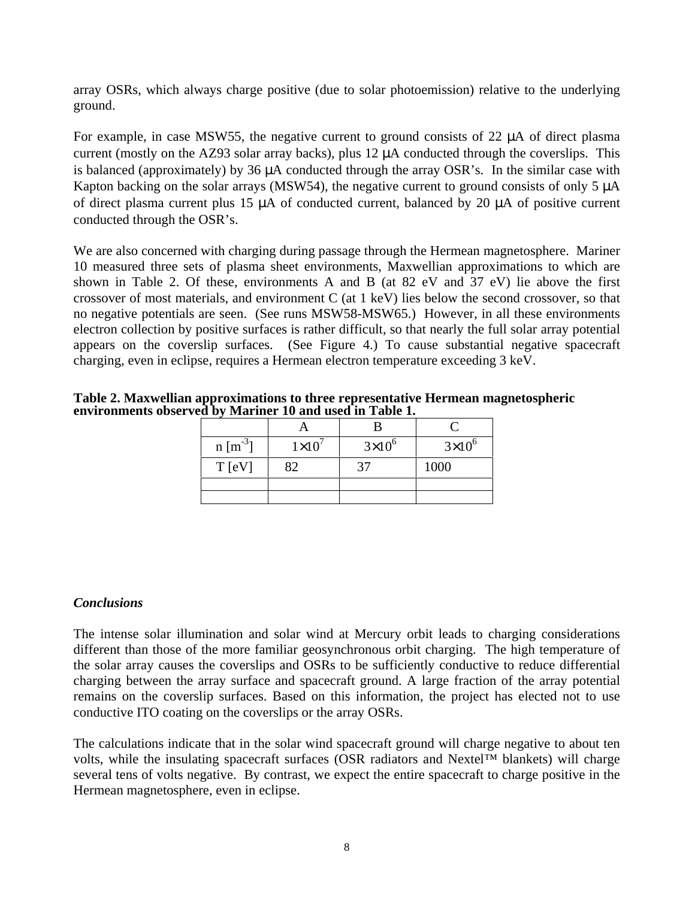array OSRs, which always charge positive (due to solar photoemission) relative to the underlying ground.

For example, in case MSW55, the negative current to ground consists of 22 µA of direct plasma current (mostly on the AZ93 solar array backs), plus 12 µA conducted through the coverslips. This is balanced (approximately) by 36 µA conducted through the array OSR's. In the similar case with Kapton backing on the solar arrays (MSW54), the negative current to ground consists of only 5  $\mu$ A of direct plasma current plus 15 µA of conducted current, balanced by 20 µA of positive current conducted through the OSR's.

We are also concerned with charging during passage through the Hermean magnetosphere. Mariner 10 measured three sets of plasma sheet environments, Maxwellian approximations to which are shown in Table 2. Of these, environments A and B (at 82 eV and 37 eV) lie above the first crossover of most materials, and environment C (at 1 keV) lies below the second crossover, so that no negative potentials are seen. (See runs MSW58-MSW65.) However, in all these environments electron collection by positive surfaces is rather difficult, so that nearly the full solar array potential appears on the coverslip surfaces. (See Figure 4.) To cause substantial negative spacecraft charging, even in eclipse, requires a Hermean electron temperature exceeding 3 keV.

**Table 2. Maxwellian approximations to three representative Hermean magnetospheric environments observed by Mariner 10 and used in Table 1.**

|                       | $\overline{\phantom{a}}$                                                                                        |                         |                                                                                                                 |
|-----------------------|-----------------------------------------------------------------------------------------------------------------|-------------------------|-----------------------------------------------------------------------------------------------------------------|
| $n [m^{-3}]$<br>_____ | $1\times10^{7}$                                                                                                 | $3\times10^{6}$         | $3\times10^{6}$                                                                                                 |
| T [eV]                | $\sim$ $\sim$<br>$\delta$                                                                                       | $\sim$<br>$\mathcal{I}$ | 1000                                                                                                            |
|                       |                                                                                                                 |                         |                                                                                                                 |
|                       | the contract of the contract of the contract of the contract of the contract of the contract of the contract of |                         | the contract of the contract of the contract of the contract of the contract of the contract of the contract of |

## *Conclusions*

The intense solar illumination and solar wind at Mercury orbit leads to charging considerations different than those of the more familiar geosynchronous orbit charging. The high temperature of the solar array causes the coverslips and OSRs to be sufficiently conductive to reduce differential charging between the array surface and spacecraft ground. A large fraction of the array potential remains on the coverslip surfaces. Based on this information, the project has elected not to use conductive ITO coating on the coverslips or the array OSRs.

The calculations indicate that in the solar wind spacecraft ground will charge negative to about ten volts, while the insulating spacecraft surfaces (OSR radiators and Nextel<sup>TM</sup> blankets) will charge several tens of volts negative. By contrast, we expect the entire spacecraft to charge positive in the Hermean magnetosphere, even in eclipse.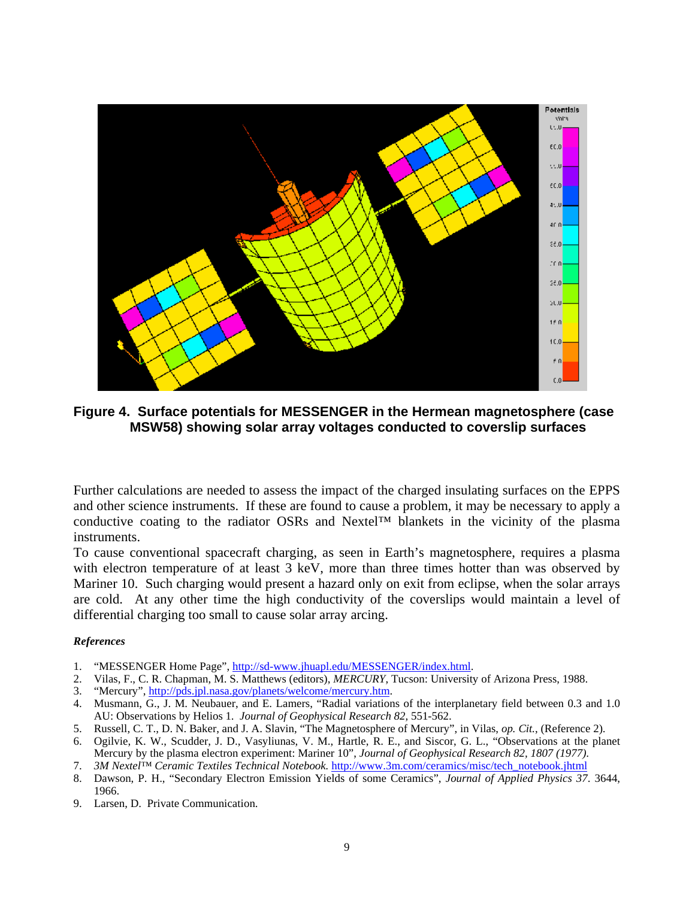

**Figure 4. Surface potentials for MESSENGER in the Hermean magnetosphere (case MSW58) showing solar array voltages conducted to coverslip surfaces**

Further calculations are needed to assess the impact of the charged insulating surfaces on the EPPS and other science instruments. If these are found to cause a problem, it may be necessary to apply a conductive coating to the radiator OSRs and Nextel™ blankets in the vicinity of the plasma instruments.

To cause conventional spacecraft charging, as seen in Earth's magnetosphere, requires a plasma with electron temperature of at least  $3 \text{ keV}$ , more than three times hotter than was observed by Mariner 10. Such charging would present a hazard only on exit from eclipse, when the solar arrays are cold. At any other time the high conductivity of the coverslips would maintain a level of differential charging too small to cause solar array arcing.

#### *References*

- 1. "MESSENGER Home Page", http://sd-www.jhuapl.edu/MESSENGER/index.html.
- 2. Vilas, F., C. R. Chapman, M. S. Matthews (editors), *MERCURY*, Tucson: University of Arizona Press, 1988.
- 3. "Mercury", http://pds.jpl.nasa.gov/planets/welcome/mercury.htm.
- 4. Musmann, G., J. M. Neubauer, and E. Lamers, "Radial variations of the interplanetary field between 0.3 and 1.0 AU: Observations by Helios 1. *Journal of Geophysical Research 82,* 551-562.
- 5. Russell, C. T., D. N. Baker, and J. A. Slavin, "The Magnetosphere of Mercury", in Vilas, *op. Cit.*, (Reference 2).
- 6. Ogilvie, K. W., Scudder, J. D., Vasyliunas, V. M., Hartle, R. E., and Siscor, G. L., "Observations at the planet Mercury by the plasma electron experiment: Mariner 10", *Journal of Geophysical Research 82, 1807 (1977)*.
- 7. *3M Nextel™ Ceramic Textiles Technical Notebook.* http://www.3m.com/ceramics/misc/tech\_notebook.jhtml
- 8. Dawson, P. H., "Secondary Electron Emission Yields of some Ceramics", *Journal of Applied Physics 37*. 3644, 1966.
- 9. Larsen, D. Private Communication.